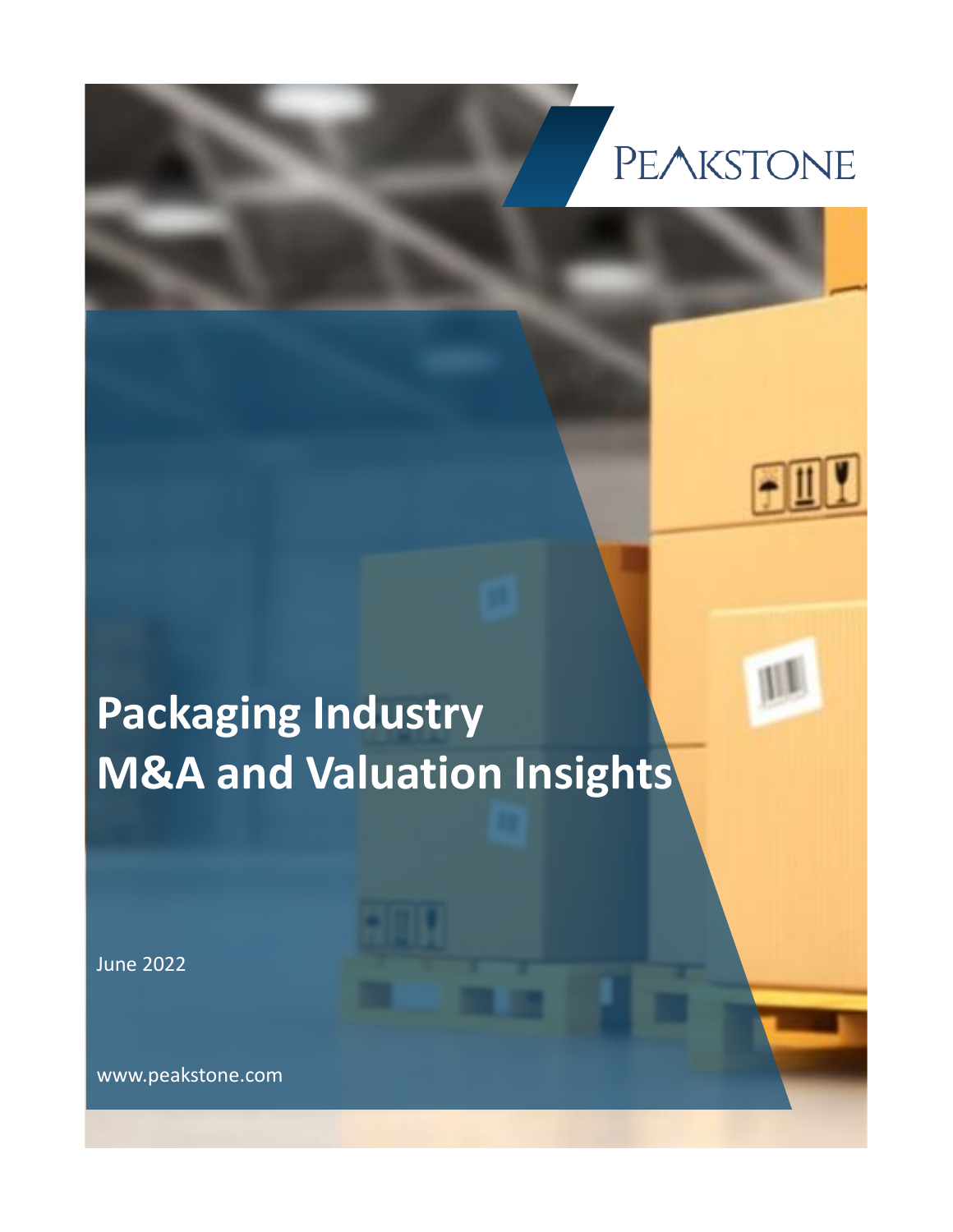## **PEAKSTONE**

## **Packaging Industry M&A and Valuation Insights**

June 2022

www.peakstone.com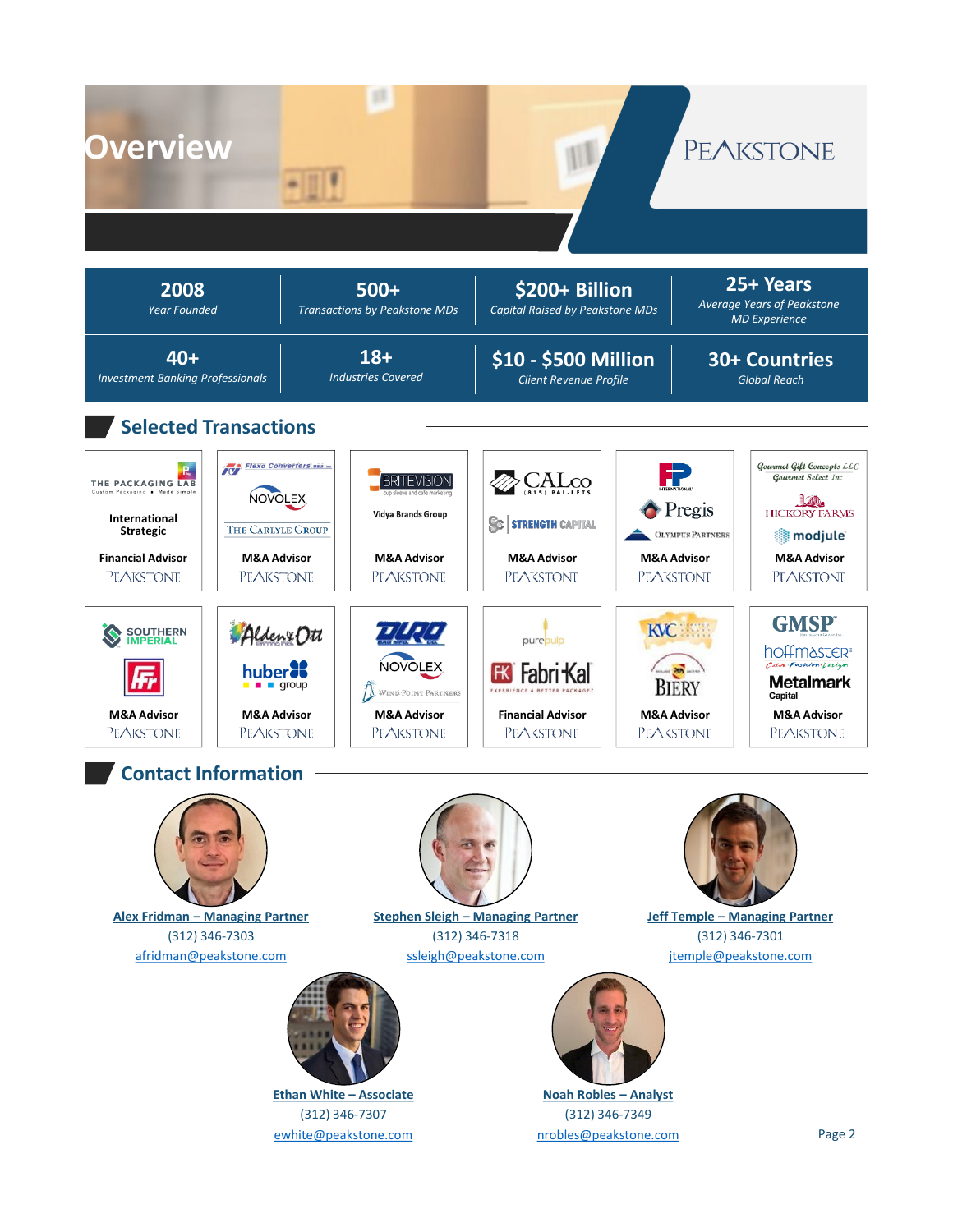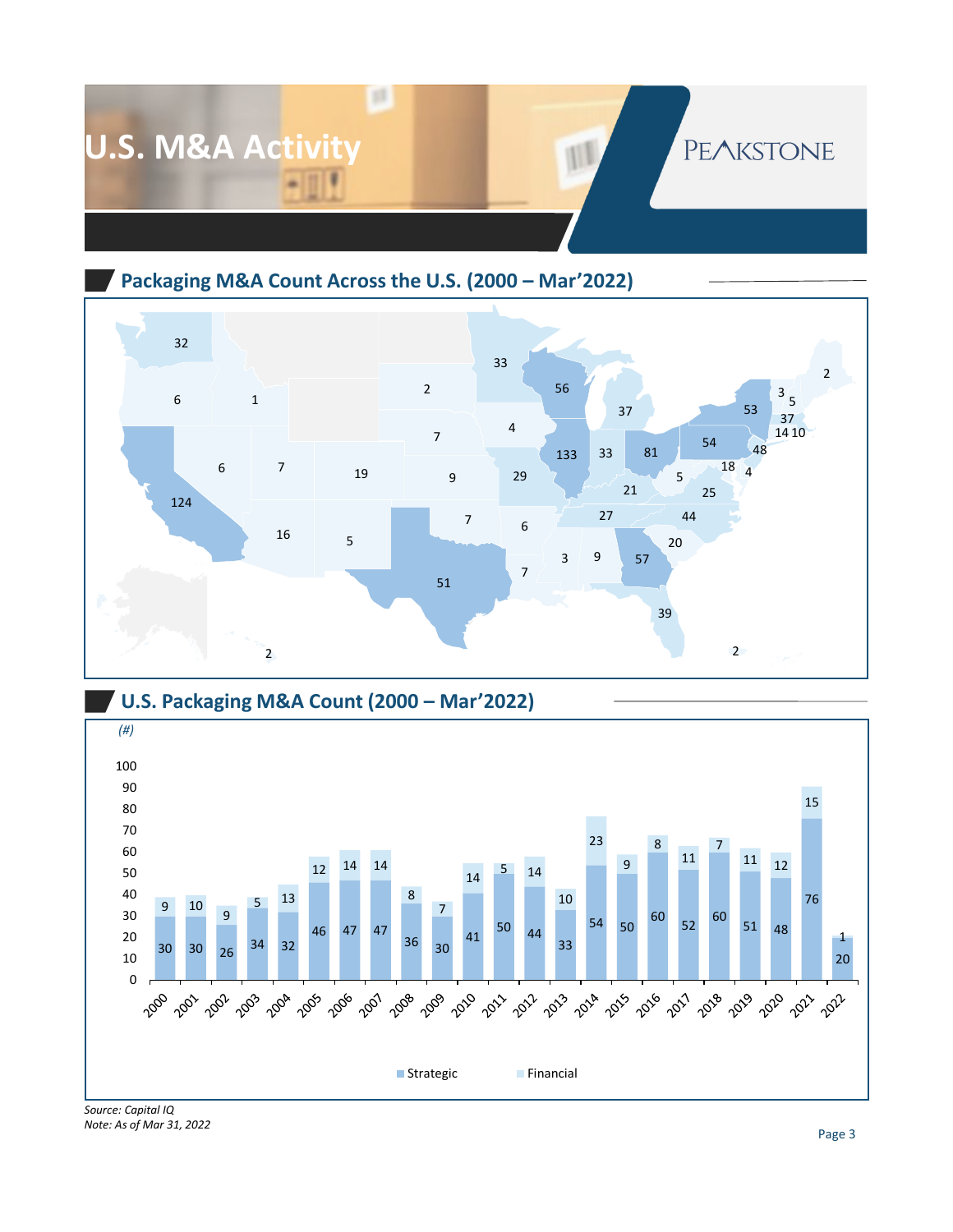

**Packaging M&A Count Across the U.S. (2000 – Mar'2022)**



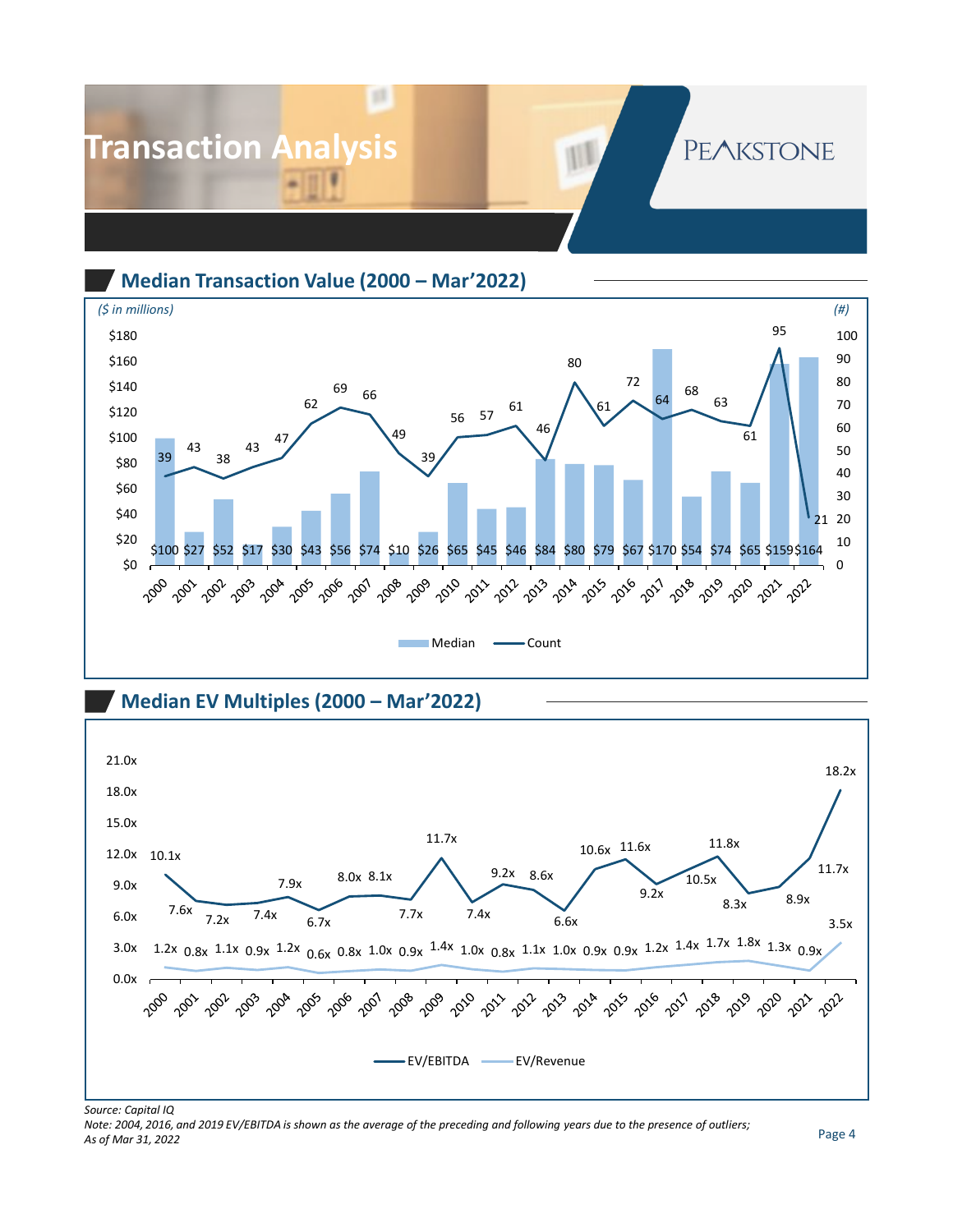

**Median Transaction Value (2000 – Mar'2022)**



**Median EV Multiples (2000 – Mar'2022)** 



*Source: Capital IQ*

*Note: 2004, 2016, and 2019 EV/EBITDA is shown as the average of the preceding and following years due to the presence of outliers; As of Mar 31, 2022*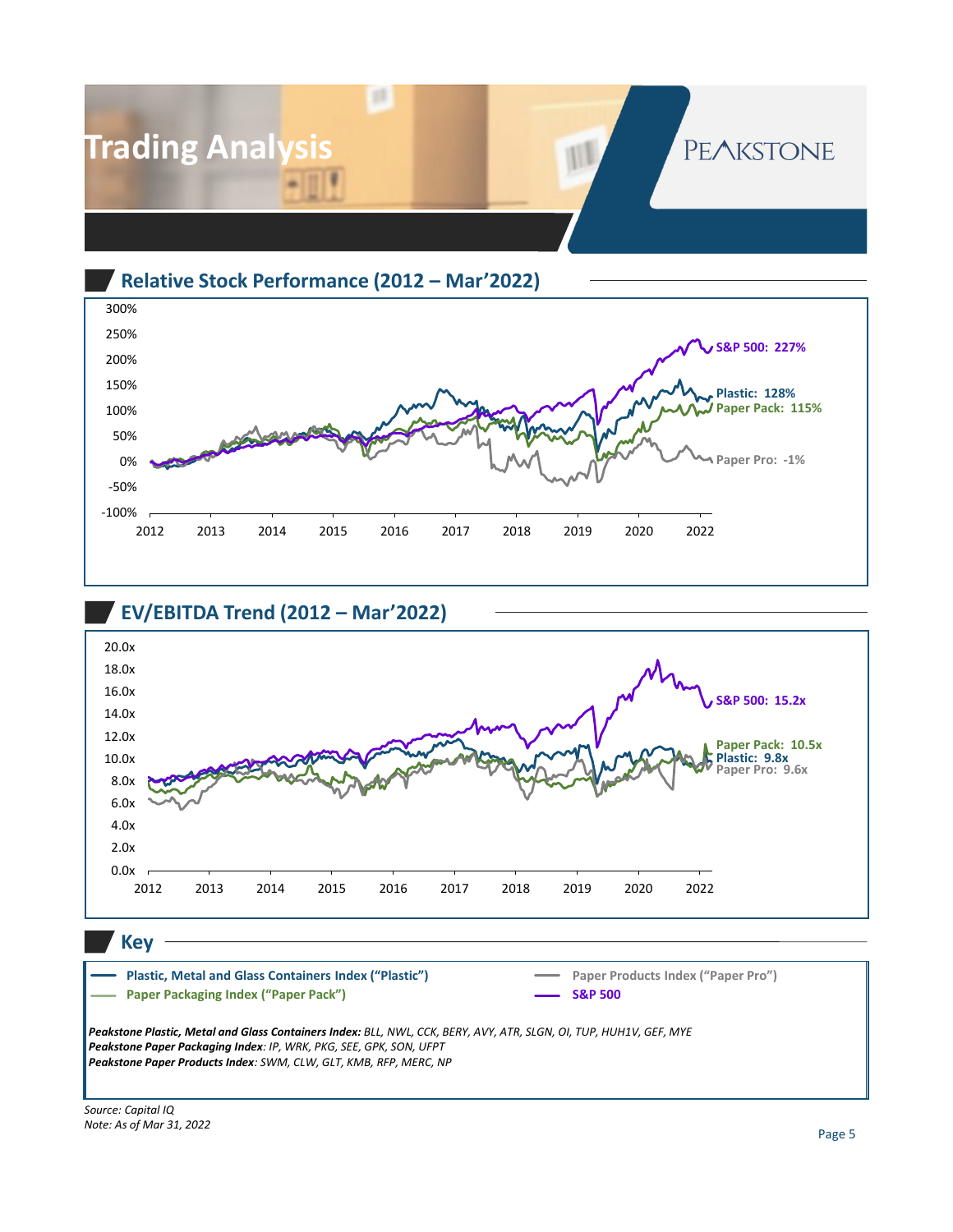







**Key**

*Peakstone Plastic, Metal and Glass Containers Index: BLL, NWL, CCK, BERY, AVY, ATR, SLGN, OI, TUP, HUH1V, GEF, MYE Peakstone Paper Packaging Index: IP, WRK, PKG, SEE, GPK, SON, UFPT Peakstone Paper Products Index: SWM, CLW, GLT, KMB, RFP, MERC, NP* **Plastic, Metal and Glass Containers Index ("Plastic") Paper Packaging Index ("Paper Pack") Paper Products Index ("Paper Pro") S&P 500**